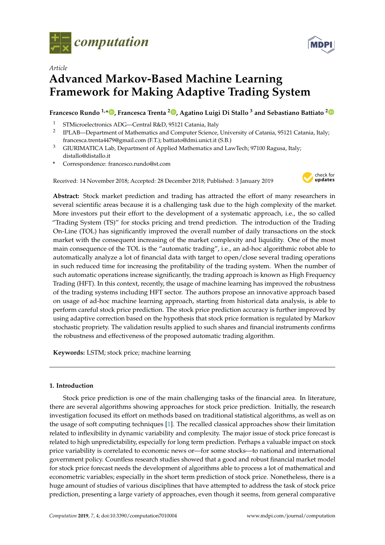



# *Article* **Advanced Markov-Based Machine Learning Framework for Making Adaptive Trading System**

# **Francesco Rundo 1,\* [,](https://orcid.org/0000-0003-1766-3065) Francesca Trenta <sup>2</sup> [,](https://orcid.org/0000-0003-2524-3837) Agatino Luigi Di Stallo <sup>3</sup> and Sebastiano Battiato [2](https://orcid.org/0000-0001-6127-2470)**

- <sup>1</sup> STMicroelectronics ADG—Central R&D, 95121 Catania, Italy
- 2 IPLAB—Department of Mathematics and Computer Science, University of Catania, 95121 Catania, Italy; francesca.trenta4479@gmail.com (F.T.); battiato@dmi.unict.it (S.B.)
- <sup>3</sup> GIURIMATICA Lab, Department of Applied Mathematics and LawTech; 97100 Ragusa, Italy; distallo@distallo.it
- **\*** Correspondence: francesco.rundo@st.com

Received: 14 November 2018; Accepted: 28 December 2018; Published: 3 January 2019



**Abstract:** Stock market prediction and trading has attracted the effort of many researchers in several scientific areas because it is a challenging task due to the high complexity of the market. More investors put their effort to the development of a systematic approach, i.e., the so called "Trading System (TS)" for stocks pricing and trend prediction. The introduction of the Trading On-Line (TOL) has significantly improved the overall number of daily transactions on the stock market with the consequent increasing of the market complexity and liquidity. One of the most main consequence of the TOL is the "automatic trading", i.e., an ad-hoc algorithmic robot able to automatically analyze a lot of financial data with target to open/close several trading operations in such reduced time for increasing the profitability of the trading system. When the number of such automatic operations increase significantly, the trading approach is known as High Frequency Trading (HFT). In this context, recently, the usage of machine learning has improved the robustness of the trading systems including HFT sector. The authors propose an innovative approach based on usage of ad-hoc machine learning approach, starting from historical data analysis, is able to perform careful stock price prediction. The stock price prediction accuracy is further improved by using adaptive correction based on the hypothesis that stock price formation is regulated by Markov stochastic propriety. The validation results applied to such shares and financial instruments confirms the robustness and effectiveness of the proposed automatic trading algorithm.

**Keywords:** LSTM; stock price; machine learning

# **1. Introduction**

Stock price prediction is one of the main challenging tasks of the financial area. In literature, there are several algorithms showing approaches for stock price prediction. Initially, the research investigation focused its effort on methods based on traditional statistical algorithms, as well as on the usage of soft computing techniques [\[1\]](#page-18-0). The recalled classical approaches show their limitation related to inflexibility in dynamic variability and complexity. The major issue of stock price forecast is related to high unpredictability, especially for long term prediction. Perhaps a valuable impact on stock price variability is correlated to economic news or—for some stocks—to national and international government policy. Countless research studies showed that a good and robust financial market model for stock price forecast needs the development of algorithms able to process a lot of mathematical and econometric variables; especially in the short term prediction of stock price. Nonetheless, there is a huge amount of studies of various disciplines that have attempted to address the task of stock price prediction, presenting a large variety of approaches, even though it seems, from general comparative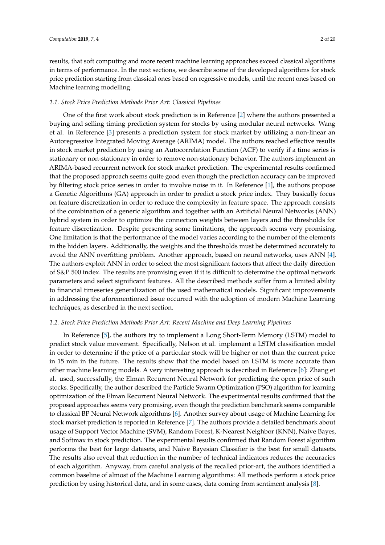results, that soft computing and more recent machine learning approaches exceed classical algorithms in terms of performance. In the next sections, we describe some of the developed algorithms for stock price prediction starting from classical ones based on regressive models, until the recent ones based on Machine learning modelling.

## *1.1. Stock Price Prediction Methods Prior Art: Classical Pipelines*

One of the first work about stock prediction is in Reference [\[2\]](#page-18-1) where the authors presented a buying and selling timing prediction system for stocks by using modular neural networks. Wang et al. in Reference [\[3\]](#page-18-2) presents a prediction system for stock market by utilizing a non-linear an Autoregressive Integrated Moving Average (ARIMA) model. The authors reached effective results in stock market prediction by using an Autocorrelation Function (ACF) to verify if a time series is stationary or non-stationary in order to remove non-stationary behavior. The authors implement an ARIMA-based recurrent network for stock market prediction. The experimental results confirmed that the proposed approach seems quite good even though the prediction accuracy can be improved by filtering stock price series in order to involve noise in it. In Reference [\[1\]](#page-18-0), the authors propose a Genetic Algorithms (GA) approach in order to predict a stock price index. They basically focus on feature discretization in order to reduce the complexity in feature space. The approach consists of the combination of a generic algorithm and together with an Artificial Neural Networks (ANN) hybrid system in order to optimize the connection weights between layers and the thresholds for feature discretization. Despite presenting some limitations, the approach seems very promising. One limitation is that the performance of the model varies according to the number of the elements in the hidden layers. Additionally, the weights and the thresholds must be determined accurately to avoid the ANN overfitting problem. Another approach, based on neural networks, uses ANN [\[4\]](#page-18-3). The authors exploit ANN in order to select the most significant factors that affect the daily direction of S&P 500 index. The results are promising even if it is difficult to determine the optimal network parameters and select significant features. All the described methods suffer from a limited ability to financial timeseries generalization of the used mathematical models. Significant improvements in addressing the aforementioned issue occurred with the adoption of modern Machine Learning techniques, as described in the next section.

## *1.2. Stock Price Prediction Methods Prior Art: Recent Machine and Deep Learning Pipelines*

In Reference [\[5\]](#page-18-4), the authors try to implement a Long Short-Term Memory (LSTM) model to predict stock value movement. Specifically, Nelson et al. implement a LSTM classification model in order to determine if the price of a particular stock will be higher or not than the current price in 15 min in the future. The results show that the model based on LSTM is more accurate than other machine learning models. A very interesting approach is described in Reference [\[6\]](#page-18-5): Zhang et al. used, successfully, the Elman Recurrent Neural Network for predicting the open price of such stocks. Specifically, the author described the Particle Swarm Optimization (PSO) algorithm for learning optimization of the Elman Recurrent Neural Network. The experimental results confirmed that the proposed approaches seems very promising, even though the prediction benchmark seems comparable to classical BP Neural Network algorithms [\[6\]](#page-18-5). Another survey about usage of Machine Learning for stock market prediction is reported in Reference [\[7\]](#page-18-6). The authors provide a detailed benchmark about usage of Support Vector Machine (SVM), Random Forest, K-Nearest Neighbor (KNN), Naive Bayes, and Softmax in stock prediction. The experimental results confirmed that Random Forest algorithm performs the best for large datasets, and Naïve Bayesian Classifier is the best for small datasets. The results also reveal that reduction in the number of technical indicators reduces the accuracies of each algorithm. Anyway, from careful analysis of the recalled prior-art, the authors identified a common baseline of almost of the Machine Learning algorithms: All methods perform a stock price prediction by using historical data, and in some cases, data coming from sentiment analysis [\[8\]](#page-18-7).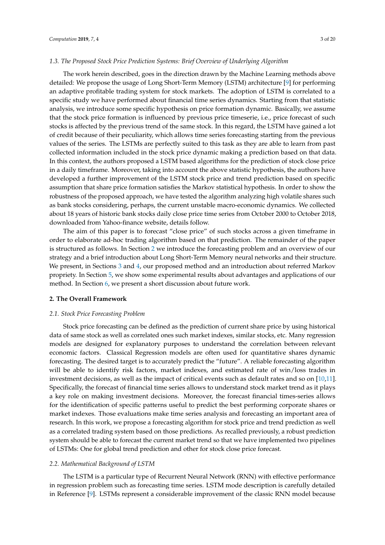### *1.3. The Proposed Stock Price Prediction Systems: Brief Overview of Underlying Algorithm*

The work herein described, goes in the direction drawn by the Machine Learning methods above detailed: We propose the usage of Long Short-Term Memory (LSTM) architecture [\[9\]](#page-18-8) for performing an adaptive profitable trading system for stock markets. The adoption of LSTM is correlated to a specific study we have performed about financial time series dynamics. Starting from that statistic analysis, we introduce some specific hypothesis on price formation dynamic. Basically, we assume that the stock price formation is influenced by previous price timeserie, i.e., price forecast of such stocks is affected by the previous trend of the same stock. In this regard, the LSTM have gained a lot of credit because of their peculiarity, which allows time series forecasting starting from the previous values of the series. The LSTMs are perfectly suited to this task as they are able to learn from past collected information included in the stock price dynamic making a prediction based on that data. In this context, the authors proposed a LSTM based algorithms for the prediction of stock close price in a daily timeframe. Moreover, taking into account the above statistic hypothesis, the authors have developed a further improvement of the LSTM stock price and trend prediction based on specific assumption that share price formation satisfies the Markov statistical hypothesis. In order to show the robustness of the proposed approach, we have tested the algorithm analyzing high volatile shares such as bank stocks considering, perhaps, the current unstable macro-economic dynamics. We collected about 18 years of historic bank stocks daily close price time series from October 2000 to October 2018, downloaded from Yahoo-finance website, details follow.

The aim of this paper is to forecast "close price" of such stocks across a given timeframe in order to elaborate ad-hoc trading algorithm based on that prediction. The remainder of the paper is structured as follows. In Section [2](#page-2-0) we introduce the forecasting problem and an overview of our strategy and a brief introduction about Long Short-Term Memory neural networks and their structure. We present, in Sections [3](#page-4-0) and [4,](#page-7-0) our proposed method and an introduction about referred Markov propriety. In Section [5,](#page-9-0) we show some experimental results about advantages and applications of our method. In Section [6,](#page-17-0) we present a short discussion about future work.

#### <span id="page-2-0"></span>**2. The Overall Framework**

#### *2.1. Stock Price Forecasting Problem*

Stock price forecasting can be defined as the prediction of current share price by using historical data of same stock as well as correlated ones such market indexes, similar stocks, etc. Many regression models are designed for explanatory purposes to understand the correlation between relevant economic factors. Classical Regression models are often used for quantitative shares dynamic forecasting. The desired target is to accurately predict the "future". A reliable forecasting algorithm will be able to identify risk factors, market indexes, and estimated rate of win/loss trades in investment decisions, as well as the impact of critical events such as default rates and so on [\[10,](#page-18-9)[11\]](#page-18-10). Specifically, the forecast of financial time series allows to understand stock market trend as it plays a key role on making investment decisions. Moreover, the forecast financial times-series allows for the identification of specific patterns useful to predict the best performing corporate shares or market indexes. Those evaluations make time series analysis and forecasting an important area of research. In this work, we propose a forecasting algorithm for stock price and trend prediction as well as a correlated trading system based on those predictions. As recalled previously, a robust prediction system should be able to forecast the current market trend so that we have implemented two pipelines of LSTMs: One for global trend prediction and other for stock close price forecast.

# *2.2. Mathematical Background of LSTM*

The LSTM is a particular type of Recurrent Neural Network (RNN) with effective performance in regression problem such as forecasting time series. LSTM mode description is carefully detailed in Reference [\[9\]](#page-18-8). LSTMs represent a considerable improvement of the classic RNN model because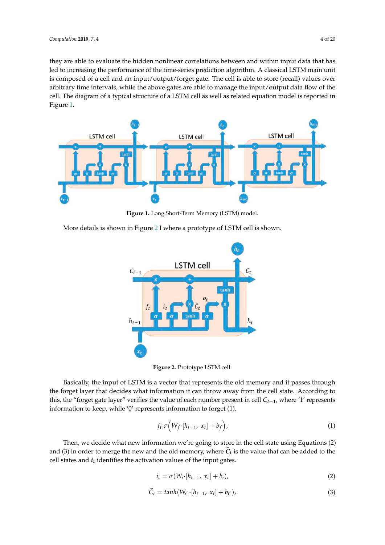they are able to evaluate the hidden nonlinear correlations between and within input data that has led to increasing the performance of the time-series prediction algorithm. A classical LSTM main unit is composed of a cell and an input/output/forget gate. The cell is able to store (recall) values over arbitrary time intervals, while the above gates are able to manage the input/output data flow of the cell. The diagram of a typical structure of a LSTM cell as well as related equation model is reported in<br>Figure 1. Figure [1.](#page-3-0) in Figure 1. are the above gates while the above gates are above gates and the state the state of the input of the input data flow of the input data flow of the input data flow of the input data flow of the input data flow of the input

<span id="page-3-0"></span>

**Figure 1.** Long Short-Term Memory (LSTM) model. **Figure 1.** Long Short-Term Memory (LSTM) model. **Figure 1.** Long Short-Term Memory (LSTM) model.

<span id="page-3-1"></span>More details is shown in Figure [2](#page-3-1) I where a prototype of LSTM cell is shown.



**Figure 2.** Prototype LSTM cell. **Figure 2.** Prototype LSTM cell.

Basically, the input of LSTM is a vector that represents the old memory and it passes through the forget layer that decides what information it can throw away from the cell state. According to this, the "forget gate layer" verifies the value of each number present in cell  $C_{t-1}$ , where '1' represents information to keep, while '0' represents information to forget (1).

$$
f_t \sigma \Big(W_f \cdot [h_{t-1}, \, x_t] + b_f\Big),\tag{1}
$$

Then, we decide what new information we're going to store in the cell state using Equations (2) and (3) in order to merge the new and the old memory, where  $\tilde{C}_t$  is the value that can be added to the cell states and  $i_t$  identifies the activation values of the input gates.

$$
i_t = \sigma(W_i \cdot [h_{t-1}, x_t] + b_i), \tag{2}
$$

$$
\widetilde{C}_t = \tanh(W_C \cdot [h_{t-1}, \, x_t] + b_C), \tag{3}
$$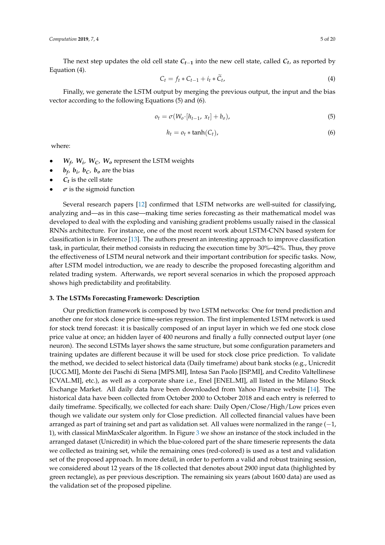The next step updates the old cell state *Ct*−**<sup>1</sup>** into the new cell state, called *C<sup>t</sup>* , as reported by Equation (4).

$$
C_t = f_t * C_{t-1} + i_t * \widetilde{C}_t,
$$
\n<sup>(4)</sup>

Finally, we generate the LSTM output by merging the previous output, the input and the bias vector according to the following Equations (5) and (6).

$$
o_t = \sigma(W_o \cdot [h_{t-1}, x_t] + b_o), \tag{5}
$$

$$
h_t = o_t * \tanh(C_t), \tag{6}
$$

where:

- *W<sup>f</sup>* , *W<sup>i</sup>* , *WC*, *W<sup>o</sup>* represent the LSTM weights
- *b<sub>f</sub>*, *b<sub>i</sub>*, *b<sub>C</sub>*, *b<sub>o</sub>* are the bias
- $C_t$  is the cell state
- $\sigma$  is the sigmoid function

Several research papers [\[12\]](#page-18-11) confirmed that LSTM networks are well-suited for classifying, analyzing and—as in this case—making time series forecasting as their mathematical model was developed to deal with the exploding and vanishing gradient problems usually raised in the classical RNNs architecture. For instance, one of the most recent work about LSTM-CNN based system for classification is in Reference [\[13\]](#page-19-0). The authors present an interesting approach to improve classification task, in particular, their method consists in reducing the execution time by 30%–42%. Thus, they prove the effectiveness of LSTM neural network and their important contribution for specific tasks. Now, after LSTM model introduction, we are ready to describe the proposed forecasting algorithm and related trading system. Afterwards, we report several scenarios in which the proposed approach shows high predictability and profitability.

#### <span id="page-4-0"></span>**3. The LSTMs Forecasting Framework: Description**

Our prediction framework is composed by two LSTM networks: One for trend prediction and another one for stock close price time-series regression. The first implemented LSTM network is used for stock trend forecast: it is basically composed of an input layer in which we fed one stock close price value at once; an hidden layer of 400 neurons and finally a fully connected output layer (one neuron). The second LSTMs layer shows the same structure, but some configuration parameters and training updates are different because it will be used for stock close price prediction. To validate the method, we decided to select historical data (Daily timeframe) about bank stocks (e.g., Unicredit [UCG.MI], Monte dei Paschi di Siena [MPS.MI], Intesa San Paolo [ISP.MI], and Credito Valtellinese [CVAL.MI], etc.), as well as a corporate share i.e., Enel [ENEL.MI], all listed in the Milano Stock Exchange Market. All daily data have been downloaded from Yahoo Finance website [\[14\]](#page-19-1). The historical data have been collected from October 2000 to October 2018 and each entry is referred to daily timeframe. Specifically, we collected for each share: Daily Open/Close/High/Low prices even though we validate our system only for Close prediction. All collected financial values have been arranged as part of training set and part as validation set. All values were normalized in the range  $(-1,$ 1), with classical MinMaxScaler algorithm. In Figure [3](#page-5-0) we show an instance of the stock included in the arranged dataset (Unicredit) in which the blue-colored part of the share timeserie represents the data we collected as training set, while the remaining ones (red-colored) is used as a test and validation set of the proposed approach. In more detail, in order to perform a valid and robust training session, we considered about 12 years of the 18 collected that denotes about 2900 input data (highlighted by green rectangle), as per previous description. The remaining six years (about 1600 data) are used as the validation set of the proposed pipeline.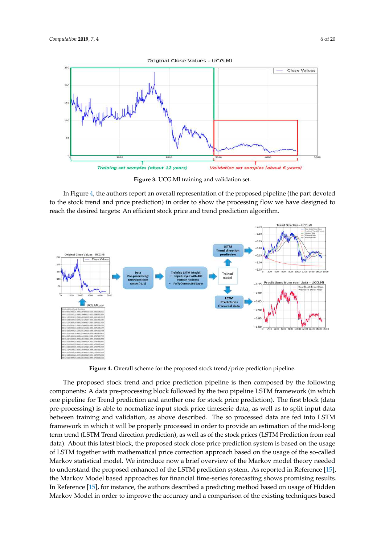<span id="page-5-0"></span>

**Figure 3.** UCG.MI training and validation set. **Figure 3.** UCG.MI training and validation set. **Figure 3.** UCG.MI training and validation set.

In Figure [4,](#page-5-1) the authors report an overall representation of the proposed pipeline (the part devoted to the stock trend and price prediction) in order to show the processing flow we have designed to reach the desired targets: An efficient stock price and trend prediction algorithm.

<span id="page-5-1"></span>

**Figure 4.** Overall scheme for the proposed stock trend/price prediction pipeline. **Figure 4.** Overall scheme for the proposed stock trend/price prediction pipeline.

**Figure 4.** Overall scheme for the proposed stock trend/price prediction pipeline. components: A data pre-processing block followed by the two pipeline LSTM framework (in which one pipeline for Trend prediction and another one for stock price prediction). The first block (data pre-processing) is able to normalize input stock price timeserie data, as well as to split input data between training and validation, as above described. The so processed data are fed into LSTM framework in which it will be properly processed in order to provide an estimation of the mid-long term trend (LSTM Trend direction prediction), as well as of the stock prices (LSTM Prediction from real data). About this latest block, the proposed stock close price prediction system is based on the usage of LSTM together with mathematical price correction approach based on the usage of the so-called Markov statistical model. We introduce now a brief overview of the Markov model theory needed to understand the proposed enhanced of the LSTM prediction system. As reported in Reference [\[15\]](#page-19-2), the Markov Model based approaches for financial time-series forecasting shows promising results. In Keference  $[15]$ , for instance, the authors described a predicting method based on usage of Hidden Markov Model in order to improve the accuracy and a comparison of the existing techniques based The proposed stock trend and price prediction pipeline is then composed by the following The proposed stock trend and price prediction pipeline is then composed by the following the Markov Model based approaches for financial time-series forecasting shows promising results. In Reference [\[15\]](#page-19-2), for instance, the authors described a predicting method based on usage of Hidden on usage of  $M$  is the markov model in order to improve the accuracy  $\mu$  and  $\mu$  and  $\mu$  and a comparison of the accuracy  $\mu$ Markov Model in order to improve the accuracy and a comparison of the existing techniques based<br>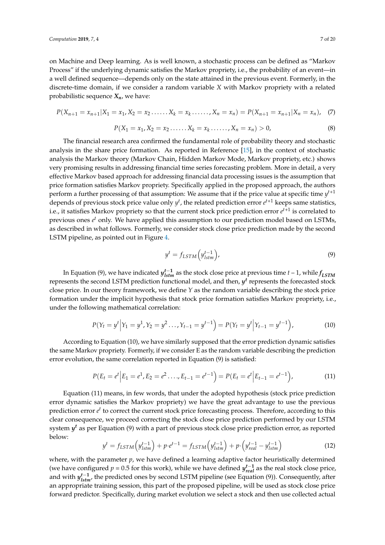on Machine and Deep learning. As is well known, a stochastic process can be defined as "Markov Process" if the underlying dynamic satisfies the Markov propriety, i.e., the probability of an event—in a well defined sequence—depends only on the state attained in the previous event. Formerly, in the discrete-time domain, if we consider a random variable *X* with Markov propriety with a related probabilistic sequence  $X_n$ , we have:

$$
P(X_{n+1}=x_{n+1}|X_1=x_1, X_2=x_2 \ldots \ldots X_k=x_k \ldots \ldots, X_n=x_n)=P(X_{n+1}=x_{n+1}|X_n=x_n), \quad (7)
$$

$$
P(X_1 = x_1, X_2 = x_2, \dots, X_k = x_k, \dots, X_n = x_n) > 0,
$$
\n(8)

The financial research area confirmed the fundamental role of probability theory and stochastic analysis in the share price formation. As reported in Reference [\[15\]](#page-19-2), in the context of stochastic analysis the Markov theory (Markov Chain, Hidden Markov Mode, Markov propriety, etc.) shows very promising results in addressing financial time series forecasting problem. More in detail, a very effective Markov based approach for addressing financial data processing issues is the assumption that price formation satisfies Markov propriety. Specifically applied in the proposed approach, the authors perform a further processing of that assumption: We assume that if the price value at specific time *y t*+1 depends of previous stock price value only *y t* , the related prediction error *e <sup>t</sup>*+1 keeps same statistics, i.e., it satisfies Markov propriety so that the current stock price prediction error *e <sup>t</sup>*+1 is correlated to previous ones *e <sup>t</sup>* only. We have applied this assumption to our prediction model based on LSTMs, as described in what follows. Formerly, we consider stock close price prediction made by the second LSTM pipeline, as pointed out in Figure [4.](#page-5-1)

$$
y^t = f_{LSTM}\left(y_{lstm}^{t-1}\right),\tag{9}
$$

In Equation (9), we have indicated  $y_{lstm}^{t-1}$  as the stock close price at previous time *t* – 1, while  $f_{LSTM}$ represents the second LSTM prediction functional model, and then, *y t* represents the forecasted stock close price. In our theory framework, we define *Y* as the random variable describing the stock price formation under the implicit hypothesis that stock price formation satisfies Markov propriety, i.e., under the following mathematical correlation:

$$
P(Y_t = y^t | Y_1 = y^1, Y_2 = y^2 \dots, Y_{t-1} = y^{t-1}) = P(Y_t = y^t | Y_{t-1} = y^{t-1}),
$$
\n(10)

According to Equation (10), we have similarly supposed that the error prediction dynamic satisfies the same Markov propriety. Formerly, if we consider E as the random variable describing the prediction error evolution, the same correlation reported in Equation (9) is satisfied:

$$
P(E_t = e^t \mid E_1 = e^1, E_2 = e^2 \dots, E_{t-1} = e^{t-1}) = P(E_t = e^t \mid E_{t-1} = e^{t-1}),
$$
\n(11)

Equation (11) means, in few words, that under the adopted hypothesis (stock price prediction error dynamic satisfies the Markov propriety) we have the great advantage to use the previous prediction error  $e^t$  to correct the current stock price forecasting process. Therefore, according to this clear consequence, we proceed correcting the stock close price prediction performed by our LSTM system *y <sup>t</sup>* as per Equation (9) with a part of previous stock close price prediction error, as reported below:

$$
y^{t} = f_{LSTM}\left(y_{lstm}^{t-1}\right) + p \cdot e^{t-1} = f_{LSTM}\left(y_{lstm}^{t-1}\right) + p \cdot \left(y_{real}^{t-1} - y_{lstm}^{t-1}\right)
$$
(12)

where, with the parameter  $p$ , we have defined a learning adaptive factor heuristically determined (we have configured  $p = 0.5$  for this work), while we have defined  $y_{real}^{t-1}$  as the real stock close price, and with  $y_{lstm}^{t-1}$ , the predicted ones by second LSTM pipeline (see Equation (9)). Consequently, after an appropriate training session, this part of the proposed pipeline, will be used as stock close price forward predictor. Specifically, during market evolution we select a stock and then use collected actual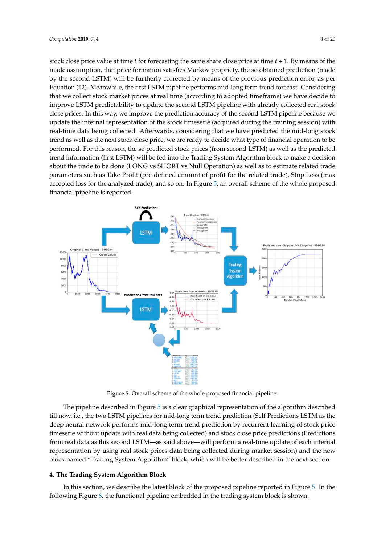stock close price value at time *t* for forecasting the same share close price at time *t* + 1. By means of the made assumption, that price formation satisfies Markov propriety, the so obtained prediction (made by the second LSTM) will be furtherly corrected by means of the previous prediction error, as per Equation (12). Meanwhile, the first LSTM pipeline performs mid-long term trend forecast. Considering that we collect stock market prices at real time (according to adopted timeframe) we have decide to improve LSTM predictability to update the second LSTM pipeline with already collected real stock close prices. In this way, we improve the prediction accuracy of the second LSTM pipeline because we update the internal representation of the stock timeserie (acquired during the training session) with real-time data being collected. Afterwards, considering that we have predicted the mid-long stock real-time data being collected. Afterwards, considering that we have predicted the mid-long stock trend as well as the next stock close price, we are ready to decide what type of financial operation to be<br>that we have predicted the next stock close price, we are ready to decide what type of financial operation to b performed. For this reason, the so predicted stock prices (from second LSTM) as well as the predicted trend information (first LSTM) will be fed into the Trading System Algorithm block to make a decision about the trade to be done (LONG vs SHORT vs Null Operation) as well as to estimate related trade parameters such as Take Profit (pre-defined amount of profit for the related trade), Stop Loss (max accepted loss for the analyzed trade), and so on. In Figure  $5$ , an overall scheme of the whole proposed financial pipeline is reported.  $\overline{\phantom{a}}$ a time data being concercies inter that of considering that we have prediced the line long second

<span id="page-7-1"></span>

**Figure 5.** Overall scheme of the whole proposed financial pipeline. **Figure 5.** Overall scheme of the whole proposed financial pipeline.

The pipeline described in Figur[e 5](#page-7-1) is a clear graphical representation of the algorithm described The pipeline described in Figure 5 is a clear graphical representation of the algorithm described till now, i.e., the two LSTM pipelines for mid-long term trend prediction (Self Predictions LSTM as till now, i.e., the two LSTM pipelines for mid-long term trend prediction (Self Predictions LSTM as the the deep neural network performs mid-long term trend prediction by recurrent learning of stock deep neural network performs mid-long term trend prediction by recurrent learning of stock price timeserie without update with real data being collected) and stock close price predictions (Predictions from real data as this second LSTM—as said above—will perform a real-time update of each internal representation by using real stock prices data being collected during market session) and the new block named "Trading System Algorithm" block, which will be better described in the next section.

#### <span id="page-7-0"></span>**4. The Trading System Algorithm Block**

In this section, we describe the latest block of the proposed pipeline reported in Figure [5.](#page-7-1) In the following Figure [6,](#page-8-0) the functional pipeline embedded in the trading system block is shown.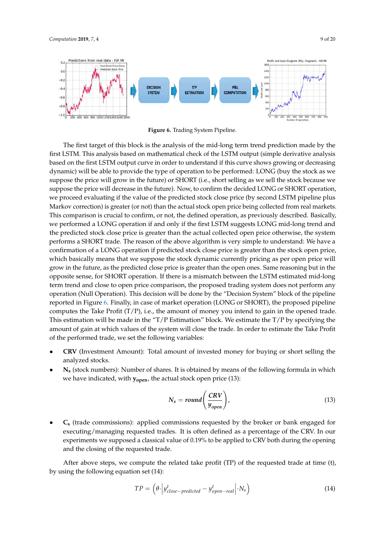<span id="page-8-0"></span>

**Figure 6.** Trading System Pipeline. **Figure 6.** Trading System Pipeline.

The first target of this block is the analysis of the mid-long term trend prediction made by the The first target of this block is the analysis of the mid-long term trend prediction made by the first LSTM. This analysis based on mathematical check of the LSTM output (simple derivative first LSTM. This analysis based on mathematical check of the LSTM output (simple derivative analysis based on the first LSTM output curve in order to understand if this curve shows growing or decreasing dynamic) will be able to provide the type of operation to be performed: LONG (buy the stock as we suppose the price will grow in the future) or SHORT (i.e., short selling as we sell the stock because we suppose the price will decrease in the future). Now, to confirm the decided LONG or SHORT operation, we proceed evaluating if the value of the predicted stock close price (by second LSTM pipeline plus Markov correction) is greater (or not) than the actual stock open price being collected from real markets. This comparison is crucial to confirm, or not, the defined operation, as previously described. Basically, we performed a LONG operation if and only if the first LSTM suggests LONG mid-long trend and the predicted stock close price is greater than the actual collected open price otherwise, the system performs a SHORT trade. The reason of the above algorithm is very simple to understand: We have a .<br>confirmation of a LONG operation if predicted stock close price is greater than the stock open price, which basically means that we suppose the stock dynamic currently pricing as per open price will experiences discussing assume that the every predicted close price as equivalence currently predicted  $\alpha$  is greater than the open ones. Same reasoning but in the grow in the future, as the predicted close price is greate price is greater than the operation of the operation of the operation of the operation of SHORT operation. opposite sense, for SHORT operation. If there is a mismatch between the LSTM estimated mid-long term trend and close to open price comparison, the proposed trading system does not perform any  $\frac{1}{\sqrt{2}}$ operation (Null Operation). This decision will be done by the "Decision System" block of the pipeline the sing reported in Figure [6.](#page-8-0) Finally, in case of market operation (LONG or SHORT), the proposed pipeline computes the Take Profit  $(T/P)$ , i.e., the amount of money you intend to gain in the opened trade. This estimation will be made in the "T/P Estimation" block. We estimate the T/P by specifying the amount of gain at which values of the system will close the trade. In order to estimate the Take Profit of the performed trade, we set the following variables:

- **CRV** (Investment Amount): Total amount of invested money for buying or short selling the **CRV** (Investment Amount): Total amount of invested money for buying or short selling the analyzed stocks. analyzed stocks.
- **Ns** (stock numbers): Number of shares. It is obtained by means of the following formula in **N<sup>s</sup>** (stock numbers): Number of shares. It is obtained by means of the following formula in which which we have indicated, with **yopen**, the actual stock open price (13): we have indicated, with **yopen**, the actual stock open price (13):

$$
N_s = round\left(\frac{CRV}{y_{open}}\right),\tag{13}
$$

• C<sub>s</sub> (trade commissions): applied commissions requested by the broker or bank engaged for executing/managing requested trades. It is often defined as a percentage of the CRV. In our experiments we supposed a classical value of 0.19% to be applied to CRV both during the opening<br>expliting the classical of the manual of the de and the closing of the requested trade.

After above steps, we compute the related take profit (TP) of the requested trade at time  $(t)$ ,  $\mathcal{L} = \{ \ldots, \mathcal{L} \}$  $\mathbf{B} = \mathbf{B} \mathbf{B} + \mathbf{B} \mathbf{B} + \mathbf{B} \mathbf{B} + \mathbf{B} \mathbf{B} + \mathbf{B} \mathbf{B} + \mathbf{B} \mathbf{B} + \mathbf{B} \mathbf{B} + \mathbf{B} \mathbf{B} + \mathbf{B} \mathbf{B} + \mathbf{B} \mathbf{B} + \mathbf{B} \mathbf{B} + \mathbf{B} \mathbf{B} + \mathbf{B} \mathbf{B} + \mathbf{B} \mathbf{B} + \mathbf{B} \mathbf{B} + \mathbf{B} \mathbf{B} + \mathbf{B$ by using the following equation set (14):

$$
TP = \left(\theta \cdot \left| y_{close-predicted}^t - y_{open-real}^t \right| \cdot N_s \right) \tag{14}
$$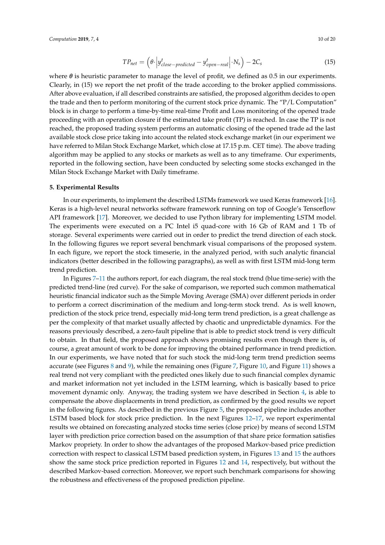$$
TP_{net} = \left(\theta \cdot \left| y_{close-predicted}^t - y_{open-real}^t \right| \cdot N_s \right) - 2C_s \tag{15}
$$

where  $\theta$  is heuristic parameter to manage the level of profit, we defined as 0.5 in our experiments. Clearly, in (15) we report the net profit of the trade according to the broker applied commissions. After above evaluation, if all described constraints are satisfied, the proposed algorithm decides to open the trade and then to perform monitoring of the current stock price dynamic. The "P/L Computation" block is in charge to perform a time-by-time real-time Profit and Loss monitoring of the opened trade proceeding with an operation closure if the estimated take profit (TP) is reached. In case the TP is not reached, the proposed trading system performs an automatic closing of the opened trade ad the last available stock close price taking into account the related stock exchange market (in our experiment we have referred to Milan Stock Exchange Market, which close at 17.15 p.m. CET time). The above trading algorithm may be applied to any stocks or markets as well as to any timeframe. Our experiments, reported in the following section, have been conducted by selecting some stocks exchanged in the Milan Stock Exchange Market with Daily timeframe.

## <span id="page-9-0"></span>**5. Experimental Results**

In our experiments, to implement the described LSTMs framework we used Keras framework [\[16\]](#page-19-3). Keras is a high-level neural networks software framework running on top of Google's Tensorflow API framework [\[17\]](#page-19-4). Moreover, we decided to use Python library for implementing LSTM model. The experiments were executed on a PC Intel i5 quad-core with 16 Gb of RAM and 1 Tb of storage. Several experiments were carried out in order to predict the trend direction of each stock. In the following figures we report several benchmark visual comparisons of the proposed system. In each figure, we report the stock timeserie, in the analyzed period, with such analytic financial indicators (better described in the following paragraphs), as well as with first LSTM mid-long term trend prediction.

In Figures [7](#page-10-0)[–11](#page-12-0) the authors report, for each diagram, the real stock trend (blue time-serie) with the predicted trend-line (red curve). For the sake of comparison, we reported such common mathematical heuristic financial indicator such as the Simple Moving Average (SMA) over different periods in order to perform a correct discrimination of the medium and long-term stock trend. As is well known, prediction of the stock price trend, especially mid-long term trend prediction, is a great challenge as per the complexity of that market usually affected by chaotic and unpredictable dynamics. For the reasons previously described, a zero-fault pipeline that is able to predict stock trend is very difficult to obtain. In that field, the proposed approach shows promising results even though there is, of course, a great amount of work to be done for improving the obtained performance in trend prediction. In our experiments, we have noted that for such stock the mid-long term trend prediction seems accurate (see Figures [8](#page-10-1) and [9\)](#page-11-0), while the remaining ones (Figure [7,](#page-10-0) Figure [10,](#page-11-1) and Figure [11\)](#page-12-0) shows a real trend not very compliant with the predicted ones likely due to such financial complex dynamic and market information not yet included in the LSTM learning, which is basically based to price movement dynamic only. Anyway, the trading system we have described in Section [4,](#page-7-0) is able to compensate the above displacements in trend prediction, as confirmed by the good results we report in the following figures. As described in the previous Figure [5,](#page-7-1) the proposed pipeline includes another LSTM based block for stock price prediction. In the next Figures [12–](#page-12-1)[17,](#page-14-0) we report experimental results we obtained on forecasting analyzed stocks time series (close price) by means of second LSTM layer with prediction price correction based on the assumption of that share price formation satisfies Markov propriety. In order to show the advantages of the proposed Markov-based price prediction correction with respect to classical LSTM based prediction system, in Figures [13](#page-12-2) and [15](#page-13-0) the authors show the same stock price prediction reported in Figures [12](#page-12-1) and [14,](#page-13-1) respectively, but without the described Markov-based correction. Moreover, we report such benchmark comparisons for showing the robustness and effectiveness of the proposed prediction pipeline.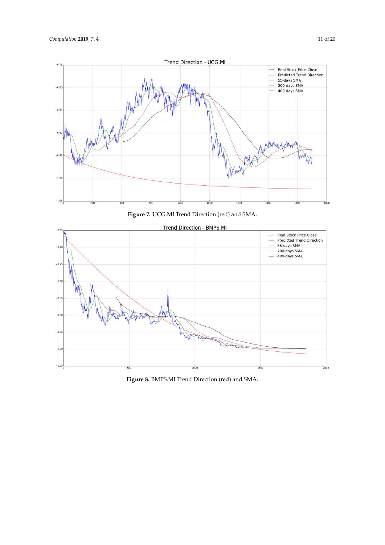<span id="page-10-0"></span>

**Figure 7.** UCG.MI Trend Direction (red) and SMA. **Figure 7.** UCG.MI Trend Direction (red) and SMA. **Figure 7.** UCG.MI Trend Direction (red) and SMA.

<span id="page-10-1"></span>

Figure 8. BMPS.MI Trend Direction (red) and SMA.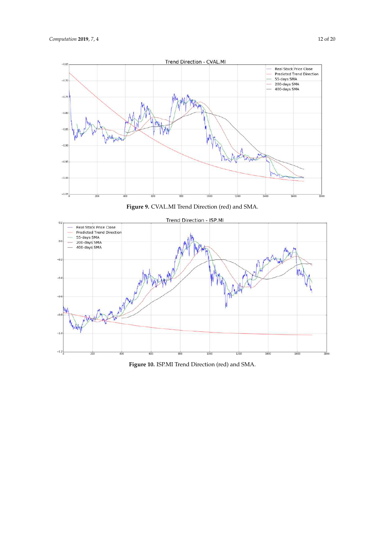<span id="page-11-0"></span>

**Figure 9.** CVAL.MI Trend Direction (red) and SMA. **Figure 9.** CVAL.MI Trend Direction (red) and SMA. **Figure 9.** CVAL.MI Trend Direction (red) and SMA.

<span id="page-11-1"></span>

**Figure 10. Figure 10.** ISP.MI Trend Direction (red) and SMA. ISP.MI Trend Direction (red) and SMA.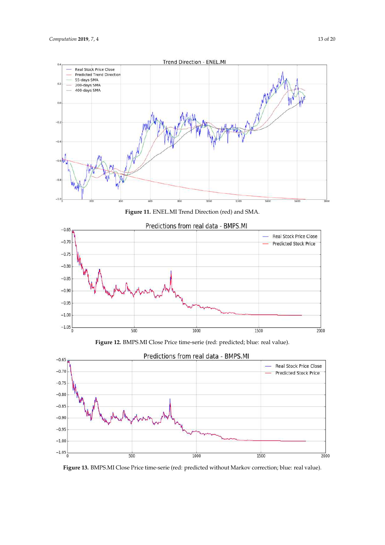<span id="page-12-0"></span>

**Figure 11.** ENEL.MI Trend Direction (red) and SMA. **Figure 11.** ENEL.MI Trend Direction (red) and SMA. **Figure 11.** ENEL.MI Trend Direction (red) and SMA.

<span id="page-12-1"></span>



<span id="page-12-2"></span>

Figure 13. BMPS.MI Close Price time-serie (red: predicted without Markov correction; blue: real value).<br>.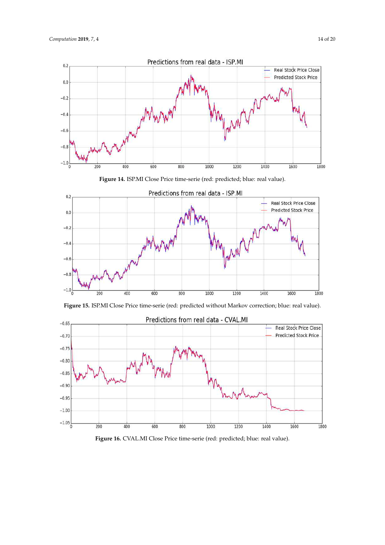<span id="page-13-1"></span>

Figure 14. ISP.MI Close Price time-serie (red: predicted; blue: real value).

<span id="page-13-0"></span>



Figure 15. ISP.MI Close Price time-serie (red: predicted without Markov correction; blue: real value).

**Figure 16.** CVAL.MI Close Price time-serie (red: predicted; blue: real value).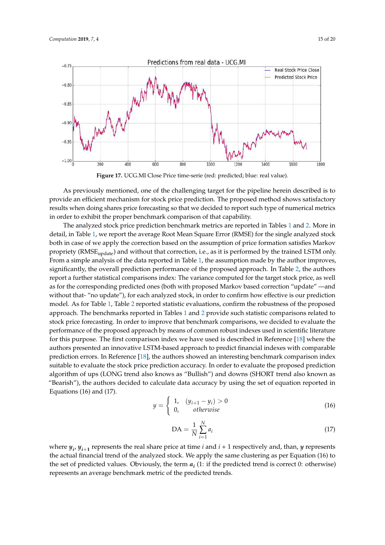<span id="page-14-0"></span>

**Figure 17.** UCG.MI Close Price time-serie (red: predicted; blue: real value). **Figure 17.** UCG.MI Close Price time-serie (red: predicted; blue: real value).

As previously mentioned, one of the challenging target for the pipeline herein described is to As previously mentioned, one of the challenging target for the pipeline herein described is to provide an efficient mechanism for stock price prediction. The proposed method shows satisfactory provide an efficient mechanism for stock price prediction. The proposed method shows satisfactory results when doing shares price forecasting so that we decided to report such type of numerical metrics in order to exhibit the proper benchmark comparison of that capability.

detail, in Table [1,](#page-15-0) we report the average Root Mean Square Error (RMSE) for the single analyzed stock both in case of we apply the correction based on the assumption of price formation satisfies Markov propriety (RMSE<sub>update</sub>) and without that correction, i.e., as it is performed by the trained LSTM only. From a simple analysis of the data reported in Table [1,](#page-15-0) the assumption made by the author improves, significantly, the overall prediction performance of the proposed approach. In Table [2,](#page-15-1) the authors report a further statistical comparisons index: The variance computed for the target stock price, as well as for the corresponding predicted ones (both with proposed Markov based correction "update" —and without that- "no update"), for each analyzed stock, in order to confirm how effective is our prediction based correction that the model with the correction of the that- increase that the model with the model with the model with the model with the model with the model with the model with the model with the model with the mode model. As for Table [1,](#page-15-0) Table [2](#page-15-1) reported statistic evaluations, confirm the robustness of the proposed approach. [T](#page-15-1)he benchmarks reported in Tables [1](#page-15-0) and 2 provide such statistic comparisons related to stock price forecasting. In order to improve that benchmark comparisons, we decided to evaluate the performance of the proposed approach by means of common robust indexes used in scientific literature for this purpose. The first comparison index we have used is described in Reference [\[18\]](#page-19-5) where the authors presented an innovative LSTM-based approach to predict financial indexes with comparable prediction errors. In Reference [\[18\]](#page-19-5), the authors showed an interesting benchmark comparison index suitable to evaluate the stock price prediction accuracy. In order to evaluate the proposed prediction algorithm of ups (LONG trend also knows as "Bullish") and downs (SHORT trend also known as "Bearish"), the authors decided to calculate data accuracy by using the set of equation reported in Equations (16) and (17).  $\blacksquare$ The analyzed stock price prediction benchmark metrics are reported in Tables [1](#page-15-0) and [2.](#page-15-1) More in

$$
y = \begin{cases} 1, & (y_{i+1} - y_i) > 0 \\ 0, & otherwise \end{cases}
$$
 (16)

$$
DA = \frac{1}{N} \sum_{i=1}^{N} a_i
$$
\n<sup>(17)</sup>

where  $\mu$  represents the real share price at time *i* and *i* + 1 respectively and, than *u* represent where  $y_i$ ,  $y_{i+1}$  represents the real share price at time *i* and *i* + 1 respectively and, than, *y* represents the actual financial trend of the analyzed stock. We apply the same clustering as per Equation (16) to the pre the set of predicted values. Obviously, the term  $a_i$  (1: if the predicted trend is correct 0: otherwise) represents an average benchmark metric of the predicted trends.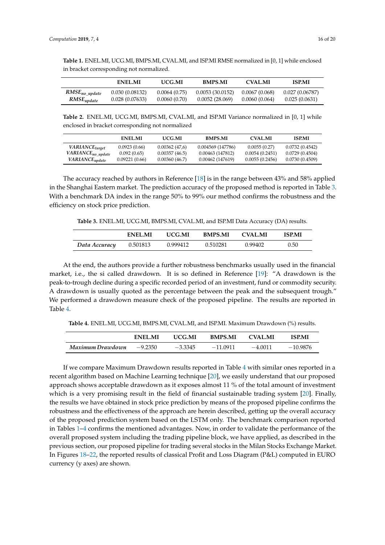<span id="page-15-0"></span>

|                     | <b>ENEL MI</b> | UCG.MI       | <b>BMPS.MI</b>  | <b>CVAL.MI</b> | <b>ISP.MI</b>  |
|---------------------|----------------|--------------|-----------------|----------------|----------------|
| $RMSE_{no\_update}$ | 0.030(0.08132) | 0.0064(0.75) | 0.0053(30.0152) | 0.0067(0.068)  | 0.027(0.06787) |
| $RMSE_{update}$     | 0.028(0.07633) | 0.0060(0.70) | 0.0052(28.069)  | 0.0060(0.064)  | 0.025(0.0631)  |

<span id="page-15-1"></span>**Table 2.** ENEL.MI, UCG.MI, BMPS.MI, CVAL.MI, and ISP.MI Variance normalized in [0, 1] while enclosed in bracket corresponding not normalized

|                                  | <b>ENEL MI</b> | UCG.MI        | <b>BMPS.MI</b>    | <b>CVAL.MI</b> | <b>ISP.MI</b>  |
|----------------------------------|----------------|---------------|-------------------|----------------|----------------|
| <i>VARIANCE<sub>target</sub></i> | 0.0923(0.66)   | 0.00362(47.6) | 0.004569 (147786) | 0.0055(0.27)   | 0.0732(0.4542) |
| VARIANCE <sub>no_update</sub>    | 0.092(0.65)    | 0.00357(46.5) | 0.00463 (147812)  | 0.0054(0.2451) | 0.0729(0.4504) |
| <i>VARIANCE<sub>update</sub></i> | 0.09221(0.66)  | 0.00360(46.7) | 0.00462(147619)   | 0.0055(0.2456) | 0.0730(0.4509) |

The accuracy reached by authors in Reference [\[18\]](#page-19-5) is in the range between 43% and 58% applied in the Shanghai Eastern market. The prediction accuracy of the proposed method is reported in Table [3.](#page-15-2) With a benchmark DA index in the range 50% to 99% our method confirms the robustness and the efficiency on stock price prediction.

<span id="page-15-2"></span>**Table 3.** ENEL.MI, UCG.MI, BMPS.MI, CVAL.MI, and ISP.MI Data Accuracy (DA) results.

|               | <b>ENEL.MI</b> | <b>UCG.MI</b> | <b>BMPS.MI</b> | <b>CVAL.MI</b> | <b>ISP.MI</b> |
|---------------|----------------|---------------|----------------|----------------|---------------|
| Data Accuracy | 0.501813       | 0.999412      | 0.510281       | 0.99402        | 0.50          |

At the end, the authors provide a further robustness benchmarks usually used in the financial market, i.e., the si called drawdown. It is so defined in Reference [\[19\]](#page-19-6): "A drawdown is the peak-to-trough decline during a specific recorded period of an investment, fund or commodity security. A drawdown is usually quoted as the percentage between the peak and the subsequent trough." We performed a drawdown measure check of the proposed pipeline. The results are reported in Table [4.](#page-15-3)

<span id="page-15-3"></span>**Table 4.** ENEL.MI, UCG.MI, BMPS.MI, CVAL.MI, and ISP.MI. Maximum Drawdown (%) results.

|                  | <b>FNFI MI</b> | <b>IICG MI</b> | <b>BMPS.MI</b> | <b>CVALMI</b> | <b>ISPMI</b> |
|------------------|----------------|----------------|----------------|---------------|--------------|
| Maximum Drawdown | $-9.2350$      | $-3.3345$      | $-11.0911$     | $-4.0011$     | $-10.9876$   |

If we compare Maximum Drawdown results reported in Table [4](#page-15-3) with similar ones reported in a recent algorithm based on Machine Learning technique [\[20\]](#page-19-7), we easily understand that our proposed approach shows acceptable drawdown as it exposes almost 11 % of the total amount of investment which is a very promising result in the field of financial sustainable trading system [\[20\]](#page-19-7). Finally, the results we have obtained in stock price prediction by means of the proposed pipeline confirms the robustness and the effectiveness of the approach are herein described, getting up the overall accuracy of the proposed prediction system based on the LSTM only. The benchmark comparison reported in Tables [1–](#page-15-0)[4](#page-15-3) confirms the mentioned advantages. Now, in order to validate the performance of the overall proposed system including the trading pipeline block, we have applied, as described in the previous section, our proposed pipeline for trading several stocks in the Milan Stocks Exchange Market. In Figures [18–](#page-16-0)[22,](#page-17-1) the reported results of classical Profit and Loss Diagram (P&L) computed in EURO currency (y axes) are shown.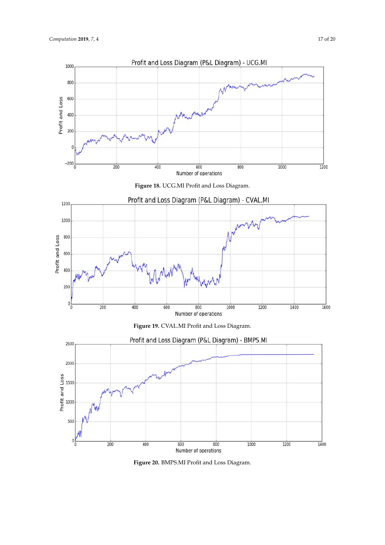<span id="page-16-0"></span>

**Figure 20.** BMPS.MI Profit and Loss Diagram. **Figure 20.** BMPS.MI Profit and Loss Diagram. **Figure 20. Figure 20.** BMPS.MI Profit and Loss Diagram. BMPS.MI Profit and Loss Diagram.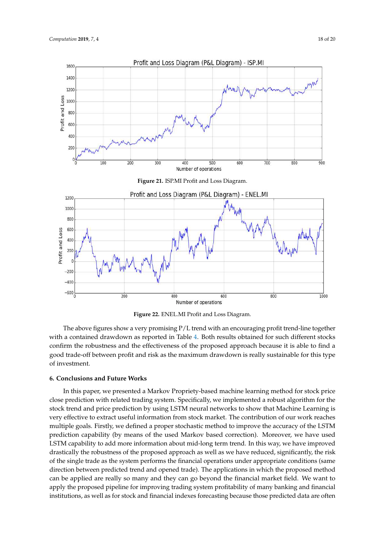<span id="page-17-1"></span>

**Figure 22.** ENEL.MI Profit and Loss Diagram. **Figure 22.** ENEL.MI Profit and Loss Diagram. **Figure 22.** ENEL.MI Profit and Loss Diagram.

The above figures show a very promising  $P/L$  trend with an encouraging profit trend-line together with a contained drawdown as reported in Table [4.](#page-15-3) Both results obtained for such different stocks confirm the robustness and the effectiveness of the proposed approach because it is able to find a good trade-off between profit and risk as the maximum drawdown is really sustainable for this type of investment.

# <span id="page-17-0"></span>**6. Conclusions and Future Works 6. Conclusions and Future Works 6. Conclusions and Future Works**

In this paper, we presented a Markov Propriety-based machine learning method for  $\mathbb{R}^n$  the stock propriety-based method for stock pricetion for stock pricetion for stock propriety  $\mathbb{R}^n$  the stock propriety  $\mathbb{$ close prediction with relative prediction  $\frac{1}{2}$ . See Fig. 2. The contrading system is algorithm for  $\frac{1}{2}$  robust algorithm for  $\frac{1}{2}$  robust algorithm for  $\frac{1}{2}$  robust algorithm for  $\frac{1}{2}$  robust algorit  $t_{\rm{max}}$  the stock trend and price price price price prediction by using LSTM neural networks to show that  $\Gamma$  is a contribution of our used as a contribution of  $\epsilon$  $\ddot{\theta}$  is very effective to extract useful information from stock market. The contribution of  $\ddot{\theta}$  is the contribution of  $\ddot{\theta}$  in  $\ddot{\theta}$  is the contribution of our work. The contribution of  $\ddot{\theta}$  is the con reaches multiple goals. First ly multiple goals of the proper stochastic method to improve the accuracy of the<br>In provided a provided the accuracy of the accuracy of the accuracy of the accuracy of the accuracy of the acc prediction capability (by means of the used Markov based correction). Moreover, we have used the used of the use  $\mu$  and more information about mid-long term trend. In this way, we have the first mid-long term trend. In this way, we have the state of the state of the state of the state of the state of the state of the state of the  $\frac{1}{2}$  in proved drastically the robustness of the proposed approach as well as well as well as well as well as well as well as well as well as well as well as well as well as well as well as well as well as well as we significantly, the risk of the system performance in the system performance which is the system performance of appropriate conditions  $\frac{1}{2}$  and  $\frac{1}{2}$  and  $\frac{1}{2}$  and  $\frac{1}{2}$  and  $\frac{1}{2}$  and  $\frac{1}{2}$  and  $\frac{1}{2}$  and  $\frac{1}{2}$  and  $\frac{1}{2}$  and  $\frac{1}{2}$  and  $\frac{1}{2}$  and  $\frac{1}{2}$  and  $\frac{1}{2}$  and  $\frac{1}{2}$  and  $\$ applied the proposed method can be applicated method can be applied method can be applied are really so many a<br>In which the proposed method can be applicated with a second can go the state of cancels which are at Chanceled beyond the financial market financial market field. We want to apply the proposed pipeline for improving the p<br>Institutions were defined to apply the provincial induced provincial contributions which distributed the provi institutions, as well as for stock and financial indexes forecasting because those predicted data are often In this paper, we presented a Markov Propriety-based machine learning method for stock price In this paper, we presented a Markov Propriety-based machine learning method for stock price close prediction with related trading system. Specifically, we implemented a robust algorithm for close prediction with related trading system. Specifically, we implemented a robust algorithm for the stock trend and price prediction by using LSTM neural networks to show that Machine Learning is very effective to extract useful information from stock market. The contribution of our work reaches multiple goals. Firstly, we defined a proper stochastic method to improve the accuracy of the LSTM prediction capability (by means of the used Markov based correction). Moreover, we have used LSTM capability to add more information about mid-long term trend. In this way, we have improved drastically the robustness of the proposed approach as well as we have reduced, significantly, the risk of the single trade as the system performs the financial operations under appropriate conditions (same direction between predicted trend and opened trade). The applications in which the proposed method can be applied are really so many and they can go beyond the financial market field. We want to apply the proposed pipeline for improving trading system profitability of many banking and financial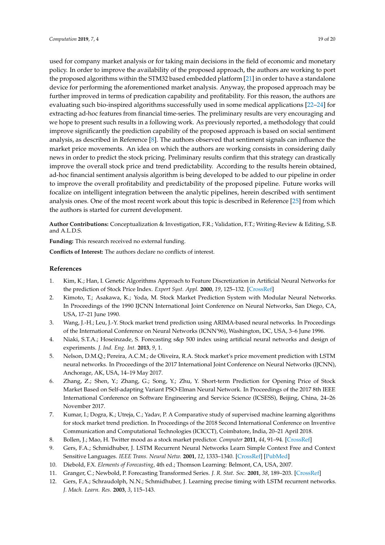used for company market analysis or for taking main decisions in the field of economic and monetary policy. In order to improve the availability of the proposed approach, the authors are working to port the proposed algorithms within the STM32 based embedded platform [\[21\]](#page-19-8) in order to have a standalone device for performing the aforementioned market analysis. Anyway, the proposed approach may be further improved in terms of predication capability and profitability. For this reason, the authors are evaluating such bio-inspired algorithms successfully used in some medical applications [\[22](#page-19-9)[–24\]](#page-19-10) for extracting ad-hoc features from financial time-series. The preliminary results are very encouraging and we hope to present such results in a following work. As previously reported, a methodology that could improve significantly the prediction capability of the proposed approach is based on social sentiment analysis, as described in Reference [\[8\]](#page-18-7). The authors observed that sentiment signals can influence the market price movements. An idea on which the authors are working consists in considering daily news in order to predict the stock pricing. Preliminary results confirm that this strategy can drastically improve the overall stock price and trend predictability. According to the results herein obtained, ad-hoc financial sentiment analysis algorithm is being developed to be added to our pipeline in order to improve the overall profitability and predictability of the proposed pipeline. Future works will focalize on intelligent integration between the analytic pipelines, herein described with sentiment analysis ones. One of the most recent work about this topic is described in Reference [\[25\]](#page-19-11) from which the authors is started for current development.

**Author Contributions:** Conceptualization & Investigation, F.R.; Validation, F.T.; Writing-Review & Editing, S.B. and A.L.D.S.

**Funding:** This research received no external funding.

**Conflicts of Interest:** The authors declare no conflicts of interest.

# **References**

- <span id="page-18-0"></span>1. Kim, K.; Han, I. Genetic Algorithms Approach to Feature Discretization in Artificial Neural Networks for the prediction of Stock Price Index. *Expert Syst. Appl.* **2000**, *19*, 125–132. [\[CrossRef\]](http://dx.doi.org/10.1016/S0957-4174(00)00027-0)
- <span id="page-18-1"></span>2. Kimoto, T.; Asakawa, K.; Yoda, M. Stock Market Prediction System with Modular Neural Networks. In Proceedings of the 1990 IJCNN International Joint Conference on Neural Networks, San Diego, CA, USA, 17–21 June 1990.
- <span id="page-18-2"></span>3. Wang, J.-H.; Leu, J.-Y. Stock market trend prediction using ARIMA-based neural networks. In Proceedings of the International Conference on Neural Networks (ICNN'96), Washington, DC, USA, 3–6 June 1996.
- <span id="page-18-3"></span>4. Niaki, S.T.A.; Hoseinzade, S. Forecasting s&p 500 index using artificial neural networks and design of experiments. *J. Ind. Eng. Int.* **2013**, *9*, 1.
- <span id="page-18-4"></span>5. Nelson, D.M.Q.; Pereira, A.C.M.; de Oliveira, R.A. Stock market's price movement prediction with LSTM neural networks. In Proceedings of the 2017 International Joint Conference on Neural Networks (IJCNN), Anchorage, AK, USA, 14–19 May 2017.
- <span id="page-18-5"></span>6. Zhang, Z.; Shen, Y.; Zhang, G.; Song, Y.; Zhu, Y. Short-term Prediction for Opening Price of Stock Market Based on Self-adapting Variant PSO-Elman Neural Network. In Proceedings of the 2017 8th IEEE International Conference on Software Engineering and Service Science (ICSESS), Beijing, China, 24–26 November 2017.
- <span id="page-18-6"></span>7. Kumar, I.; Dogra, K.; Utreja, C.; Yadav, P. A Comparative study of supervised machine learning algorithms for stock market trend prediction. In Proceedings of the 2018 Second International Conference on Inventive Communication and Computational Technologies (ICICCT), Coimbatore, India, 20–21 April 2018.
- <span id="page-18-7"></span>8. Bollen, J.; Mao, H. Twitter mood as a stock market predictor. *Computer* **2011**, *44*, 91–94. [\[CrossRef\]](http://dx.doi.org/10.1109/MC.2011.323)
- <span id="page-18-8"></span>9. Gers, F.A.; Schmidhuber, J. LSTM Recurrent Neural Networks Learn Simple Context Free and Context Sensitive Languages. *IEEE Trans. Neural Netw.* **2001**, *12*, 1333–1340. [\[CrossRef\]](http://dx.doi.org/10.1109/72.963769) [\[PubMed\]](http://www.ncbi.nlm.nih.gov/pubmed/18249962)
- <span id="page-18-9"></span>10. Diebold, F.X. *Elements of Forecasting*, 4th ed.; Thomson Learning: Belmont, CA, USA, 2007.
- <span id="page-18-10"></span>11. Granger, C.; Newbold, P. Forecasting Transformed Series. *J. R. Stat. Soc.* **2001**, *38*, 189–203. [\[CrossRef\]](http://dx.doi.org/10.1111/j.2517-6161.1976.tb01585.x)
- <span id="page-18-11"></span>12. Gers, F.A.; Schraudolph, N.N.; Schmidhuber, J. Learning precise timing with LSTM recurrent networks. *J. Mach. Learn. Res.* **2003**, *3*, 115–143.